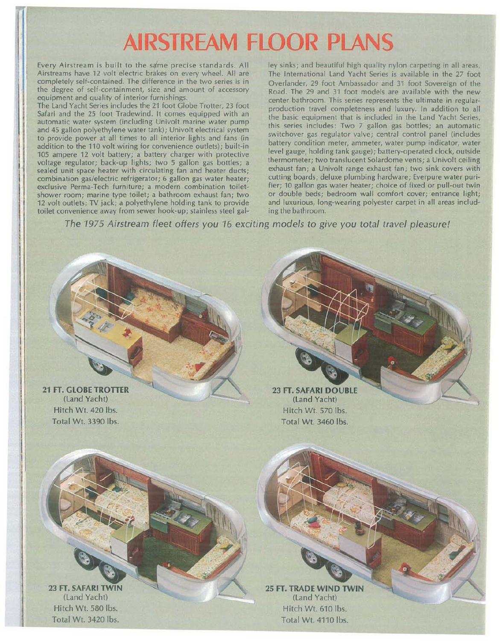# **AIRSTREAM FLOOR PLANS**

and 45 gallon polyethylene water tank); Univolt electrical system addition to the 110 volt wiring for convenience outlets); built-in battery condition meter, ammeter, water pump indicator, water<br>105 ampere 12 volt battery a battery charger with protective level gauge, holding tank gauge) 105 ampere 12 volt battery; a battery charger with protective level gauge, holding tank gauge); battery-operated clock, outside voltage regulator; back-up lights; two 5 gallon gas bottles; a thermometer; two translucent Solardome vents; a Univolt ceiling sealed unit space heater with circulating fan and heater ducts; exhaust fan; a Univolt range exhaust fan; two sink covers with combination gas/electric refrigerator; 6 gallon gas water heater; cutting boards; deluxe plumbing hardware; Everpure water puri-<br>exclusive Perma-Tech furniture: a modern combination toilet- fier; 10 gallon gas water heater shower room; marine type toilet; a bathroom exhaust fan; two or double beds; bedroom wall comfort cover; entrance light;<br>12 volt outlets: TV jack; a polyethylene holding tank to provide and luxurious, long-wearing polyeste 12 volt outlets; TV jack; a polyethylene holding tank to provide and luxurious, long-<br>toilet convenience away from sewer hook-up; stainless steel gal-<br>ing the bathroom. toilet convenience away from sewer hook-up; stainless steel gal-

Every Airstream is built to the same precise standards. All ley sinks; and beautiful high quality nylon carpeting in all areas, Airstreams have 12 volt electric brakes on every wheel. All are The International Land Yacht S Airstreams have 12 volt electric brakes on every wheel. All are The International Land Yacht Series is available in the 27 foot completely self-contained. The difference in the two series is in Querlander, 29 foot Ambassad completely self-contained. The difference in the two series is in Overlander, 29 foot Ambassador and 31 foot Sovereign of the the pay the degree of self-containment, size and amount of accessory<br>equipment and quality of interior furnishings.<br>contar bathroom. This series represents the ultimate in reqular equipment and quality of interior furnishings.<br>The Land Yacht Series includes the 21 foot Globe Trotter. 23 foot and engeleration travel completences and human languation to all The Land Yacht Series includes the 21 foot Globe Trotter, 23 foot production travel completeness and luxury. In addition to all Safari and the 25 foot Tradewind. It comes equipped with an Safari and the 25 foot Tradewind. It comes equipped with an the basic equipment that is included in the Land Yacht Series, this series includes: Two 7 gallon gas bottles; an automatic and 45 ganon polyethylene water tank); Onivoit electrical system<br>to provide power at all times to all interior lights and fans (in switchover gas regulator valve; central control panel (includes<br>addition to the 110 udt win exclusive Perma-Tech furniture; a modern combination toilet-<br>shower room; marine type toilet; a bathroom exhaust fan; two or double beds; bedroom wall comfort cover; entrance light;

The 1975 Airstream fleet offers you 16 exciting models to give you total travel pleasure!

21 FT. **GLOBE TROTTER** (Land Yacht) Hitch Wt. 420 Ibs. Total Wt. 3390 Ibs.

23 FT. **SAFARI DOUBLE** (Land Yacht) Hitch Wt. 570 Ibs. Total Wt. 3460 Ibs.

23 FT. **SAFARI TWIN** (Land Yacht) Hitch Wt. 580 Ibs. Total Wt. 3420 Ibs.

25 FT. **TRADE WIND TWIN** (Land Yacht) Hitch Wt. 610 Ibs. Total Wt. 4110 Ibs.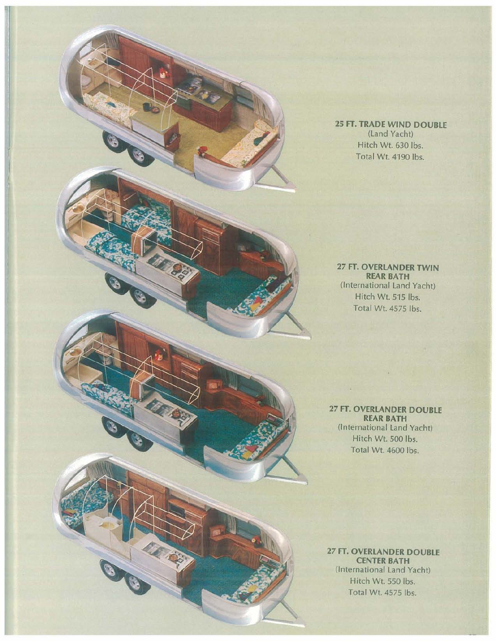

**25 FT. TRADE WIND DOUBLE** (land Yacht) Hitch Wt. 630 Ibs. Total Wt. 4190 Ibs.

**27 FT. OVERLANDER TWIN REAR BATH** (International land Yacht) Hitch Wt. 515 lbs. Total Wt. 4575 Ibs.

**27 FT. OVERLANDER DOUBLE REAR BATH** (International land Yacht) Hitch Wt. 500 Ibs. Total Wt. 4600 Ibs.

n.

**27 FT. OVERLANDER DOUBLE CENTER BATH** (International land Yacht) Hitch Wt. 550 Ibs. Total Wt. 4575 Ibs.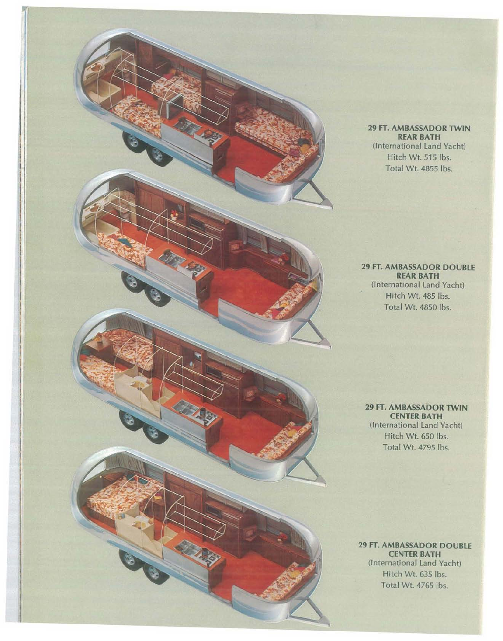#### **29 FT. AMBASSADOR TWIN REAR BATH** (International Land Yacht) Hitch Wt. 515 Ibs. Total Wt. 4855 Ibs.

# **29 FT. AMBASSADOR DOUBLE REAR BATH** (International Land Yacht) Hitch Wt. 485 Ibs. Total Wt. 4850 Ibs.

**29 FT. AMBASSADOR TWIN CENTER BATH** (International Land Yacht) Hitch Wt. 650 Ibs. Total Wt 4795 Ibs.

**29 FT. AMBASSADOR DOUBLE CENTER BATH** (International Land Yacht) Hitch Wt. 635 Ibs.

Total Wt. 4765 Ibs.